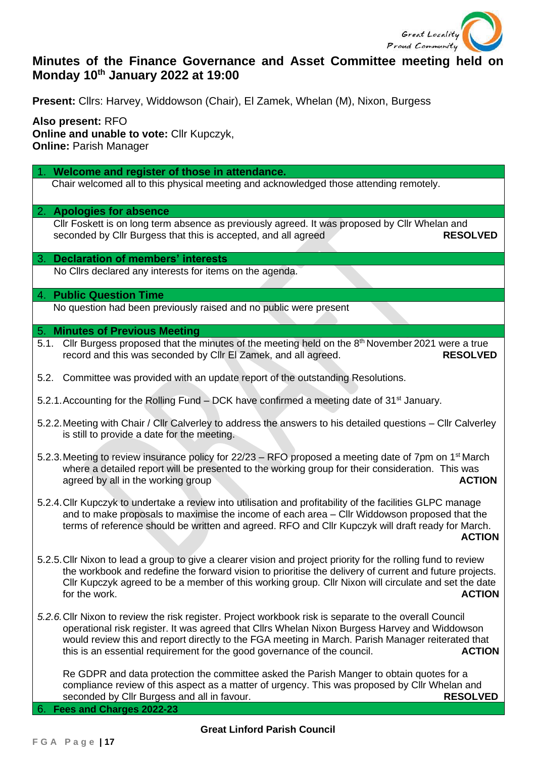

# **Minutes of the Finance Governance and Asset Committee meeting held on Monday 10th January 2022 at 19:00**

**Present:** Cllrs: Harvey, Widdowson (Chair), El Zamek, Whelan (M), Nixon, Burgess

**Also present:** RFO **Online and unable to vote: Cllr Kupczyk, Online:** Parish Manager

1. **Welcome and register of those in attendance.**

Chair welcomed all to this physical meeting and acknowledged those attending remotely.

## 2. **Apologies for absence**

Cllr Foskett is on long term absence as previously agreed. It was proposed by Cllr Whelan and seconded by Cllr Burgess that this is accepted, and all agreed **RESOLVED**

## 3. **Declaration of members' interests**

No Cllrs declared any interests for items on the agenda.

# 4. **Public Question Time**

No question had been previously raised and no public were present

## 5. **Minutes of Previous Meeting**

- 5.1. Cllr Burgess proposed that the minutes of the meeting held on the 8<sup>th</sup> November 2021 were a true record and this was seconded by Cllr El Zamek, and all agreed. **RESOLVED**
- 5.2. Committee was provided with an update report of the outstanding Resolutions.
- 5.2.1. Accounting for the Rolling Fund DCK have confirmed a meeting date of 31<sup>st</sup> January.
- 5.2.2.Meeting with Chair / Cllr Calverley to address the answers to his detailed questions Cllr Calverley is still to provide a date for the meeting.
- 5.2.3. Meeting to review insurance policy for 22/23 RFO proposed a meeting date of 7pm on 1<sup>st</sup> March where a detailed report will be presented to the working group for their consideration. This was agreed by all in the working group **ACTION**
- 5.2.4.Cllr Kupczyk to undertake a review into utilisation and profitability of the facilities GLPC manage and to make proposals to maximise the income of each area – Cllr Widdowson proposed that the terms of reference should be written and agreed. RFO and Cllr Kupczyk will draft ready for March. *ACTION*
- 5.2.5.Cllr Nixon to lead a group to give a clearer vision and project priority for the rolling fund to review the workbook and redefine the forward vision to prioritise the delivery of current and future projects. Cllr Kupczyk agreed to be a member of this working group. Cllr Nixon will circulate and set the date for the work. **ACTION**
- *5.2.6.*Cllr Nixon to review the risk register. Project workbook risk is separate to the overall Council operational risk register. It was agreed that Cllrs Whelan Nixon Burgess Harvey and Widdowson would review this and report directly to the FGA meeting in March. Parish Manager reiterated that this is an essential requirement for the good governance of the council. **ACTION**

Re GDPR and data protection the committee asked the Parish Manger to obtain quotes for a compliance review of this aspect as a matter of urgency. This was proposed by Cllr Whelan and seconded by Cllr Burgess and all in favour. **RESOLVED** 

6. **Fees and Charges 2022-23**

## **Great Linford Parish Council**